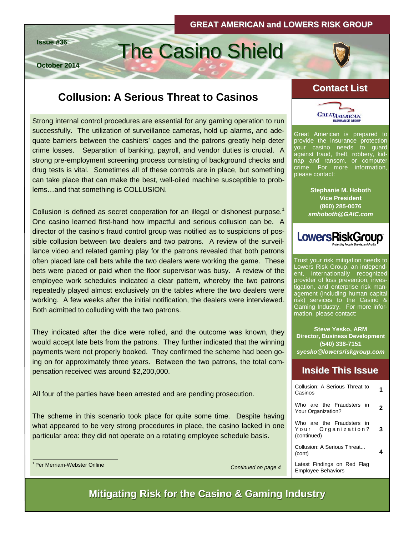# **Issue #36** The Casino Shield

**October 2014**

# **Collusion: A Serious Threat to Casinos**

Strong internal control procedures are essential for any gaming operation to run successfully. The utilization of surveillance cameras, hold up alarms, and adequate barriers between the cashiers' cages and the patrons greatly help deter crime losses. Separation of banking, payroll, and vendor duties is crucial. A strong pre-employment screening process consisting of background checks and drug tests is vital. Sometimes all of these controls are in place, but something can take place that can make the best, well-oiled machine susceptible to problems…and that something is COLLUSION.

Collusion is defined as secret cooperation for an illegal or dishonest purpose.<sup>1</sup> One casino learned first-hand how impactful and serious collusion can be. A director of the casino's fraud control group was notified as to suspicions of possible collusion between two dealers and two patrons. A review of the surveillance video and related gaming play for the patrons revealed that both patrons often placed late call bets while the two dealers were working the game. These bets were placed or paid when the floor supervisor was busy. A review of the employee work schedules indicated a clear pattern, whereby the two patrons repeatedly played almost exclusively on the tables where the two dealers were working. A few weeks after the initial notification, the dealers were interviewed. Both admitted to colluding with the two patrons.

They indicated after the dice were rolled, and the outcome was known, they would accept late bets from the patrons. They further indicated that the winning payments were not properly booked. They confirmed the scheme had been going on for approximately three years. Between the two patrons, the total compensation received was around \$2,200,000.

All four of the parties have been arrested and are pending prosecution.

The scheme in this scenario took place for quite some time. Despite having what appeared to be very strong procedures in place, the casino lacked in one particular area: they did not operate on a rotating employee schedule basis.



#### **Contact List Contact**



Great American is prepared to provide the insurance protection your casino needs to guard against fraud, theft, robbery, kidnap and ransom, or computer crime. For more information, please contact:

> **Stephanie M. Hoboth Vice President (860) 285-0076**  *smhoboth@GAIC.com*



Trust your risk mitigation needs to Lowers Risk Group, an independent, internationally recognized provider of loss prevention, investigation, and enterprise risk management (including human capital risk) services to the Casino & Gaming Industry. For more information, please contact:

**Steve Yesko, ARM Director, Business Development (540) 338-7151**  *syesko@lowersriskgroup.com* 

#### **Inside This Issue Inside This Issue**

| Collusion: A Serious Threat to<br>Casinos                      |   |
|----------------------------------------------------------------|---|
| Who are the Fraudsters in<br>Your Organization?                | 2 |
| Who are the Fraudsters in<br>Your Organization?<br>(continued) |   |
| Collusion: A Serious Threat<br>(cont)                          |   |
| Latest Findings on Red Flag<br><b>Employee Behaviors</b>       |   |

*Continued on page 4* 

**Mitigating Risk for the Casino & Gaming Industry**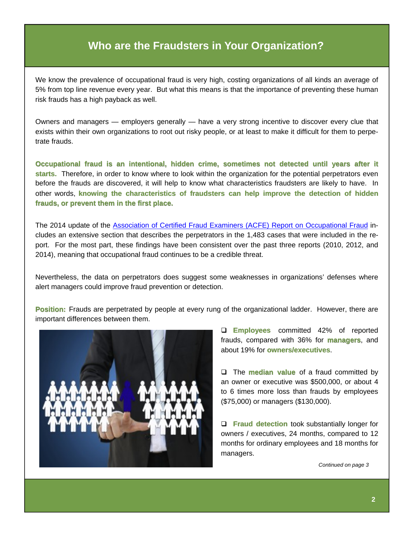#### **Who are the Fraudsters in Your Organization?**

We know the prevalence of occupational fraud is very high, costing organizations of all kinds an average of 5% from top line revenue every year. But what this means is that the importance of preventing these human risk frauds has a high payback as well.

Owners and managers — employers generally — have a very strong incentive to discover every clue that exists within their own organizations to root out risky people, or at least to make it difficult for them to perpetrate frauds.

Occupational fraud is an intentional, hidden crime, sometimes not detected until years after it **starts. starts.** Therefore, in order to know where to look within the organization for the potential perpetrators even before the frauds are discovered, it will help to know what characteristics fraudsters are likely to have. In other words, knowing the characteristics of fraudsters can help improve the detection of hidden **frauds, or prevent them in the first place. frauds, or prevent them in the first place.**

The 2014 update of the [Association of Certified Fraud Examiners \(ACFE\) Report on Occupational Fraud](http://www.acfe.com/rttn/docs/2014-report-to-nations.pdf) includes an extensive section that describes the perpetrators in the 1,483 cases that were included in the report. For the most part, these findings have been consistent over the past three reports (2010, 2012, and 2014), meaning that occupational fraud continues to be a credible threat.

Nevertheless, the data on perpetrators does suggest some weaknesses in organizations' defenses where alert managers could improve fraud prevention or detection.

**Position: Position:**Frauds are perpetrated by people at every rung of the organizational ladder. However, there are important differences between them.



**Employees Employees** committed 42% of reported frauds, compared with 36% for **managers**, and about 19% for **owners/executives**.

The **median value median value** of a fraud committed by an owner or executive was \$500,000, or about 4 to 6 times more loss than frauds by employees (\$75,000) or managers (\$130,000).

**Fraud detection** took substantially longer for owners / executives, 24 months, compared to 12 months for ordinary employees and 18 months for managers.

*Continued on page 3*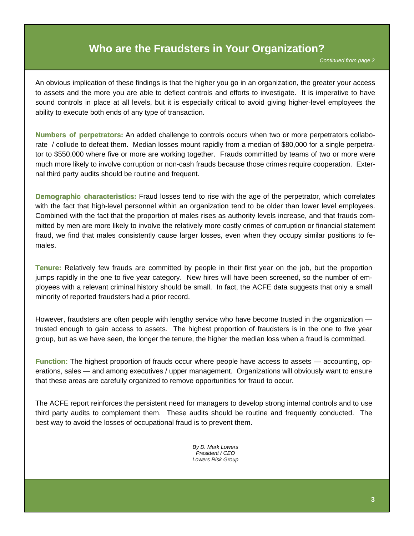#### **Who are the Fraudsters in Your Organization?**

*Continued from page 2* 

An obvious implication of these findings is that the higher you go in an organization, the greater your access to assets and the more you are able to deflect controls and efforts to investigate. It is imperative to have sound controls in place at all levels, but it is especially critical to avoid giving higher-level employees the ability to execute both ends of any type of transaction.

**Numbers of perpetrators:** An added challenge to controls occurs when two or more perpetrators collaborate / collude to defeat them. Median losses mount rapidly from a median of \$80,000 for a single perpetrator to \$550,000 where five or more are working together. Frauds committed by teams of two or more were much more likely to involve corruption or non-cash frauds because those crimes require cooperation. External third party audits should be routine and frequent.

**Demographic characteristics:** Fraud losses tend to rise with the age of the perpetrator, which correlates with the fact that high-level personnel within an organization tend to be older than lower level employees. Combined with the fact that the proportion of males rises as authority levels increase, and that frauds committed by men are more likely to involve the relatively more costly crimes of corruption or financial statement fraud, we find that males consistently cause larger losses, even when they occupy similar positions to females.

**Tenure: Tenure:** Relatively few frauds are committed by people in their first year on the job, but the proportion jumps rapidly in the one to five year category. New hires will have been screened, so the number of employees with a relevant criminal history should be small. In fact, the ACFE data suggests that only a small minority of reported fraudsters had a prior record.

However, fraudsters are often people with lengthy service who have become trusted in the organization trusted enough to gain access to assets. The highest proportion of fraudsters is in the one to five year group, but as we have seen, the longer the tenure, the higher the median loss when a fraud is committed.

**Function: Function:** The highest proportion of frauds occur where people have access to assets — accounting, operations, sales — and among executives / upper management. Organizations will obviously want to ensure that these areas are carefully organized to remove opportunities for fraud to occur.

The ACFE report reinforces the persistent need for managers to develop strong internal controls and to use third party audits to complement them. These audits should be routine and frequently conducted. The best way to avoid the losses of occupational fraud is to prevent them.

> *By D. Mark Lowers President / CEO Lowers Risk Group*